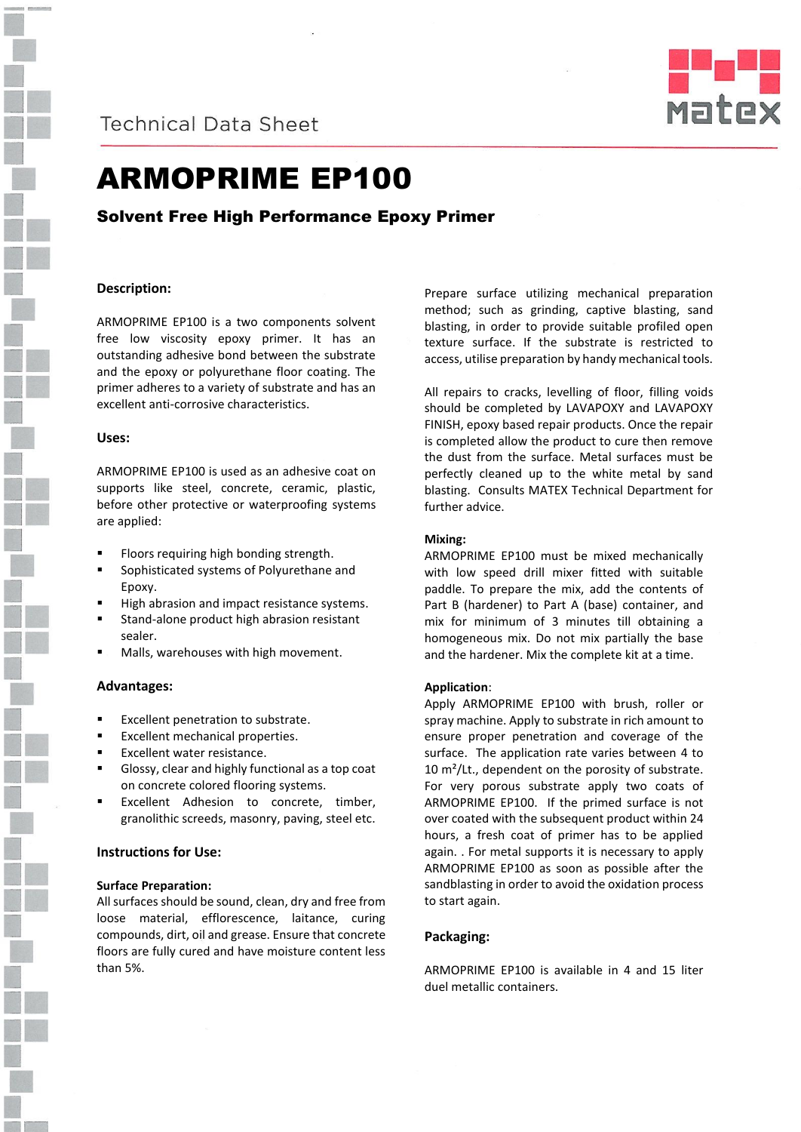

# **Technical Data Sheet**



# ARMOPRIME EP100

Solvent Free High Performance Epoxy Primer

### **Description:**

ARMOPRIME EP100 is a two components solvent free low viscosity epoxy primer. It has an outstanding adhesive bond between the substrate and the epoxy or polyurethane floor coating. The primer adheres to a variety of substrate and has an excellent anti-corrosive characteristics.

#### **Uses:**

ARMOPRIME EP100 is used as an adhesive coat on supports like steel, concrete, ceramic, plastic, before other protective or waterproofing systems are applied:

- Floors requiring high bonding strength.
- Sophisticated systems of Polyurethane and Epoxy.
- High abrasion and impact resistance systems.
- Stand-alone product high abrasion resistant sealer.
- Malls, warehouses with high movement.

#### **Advantages:**

- Excellent penetration to substrate.
- Excellent mechanical properties.
- Excellent water resistance.
- Glossy, clear and highly functional as a top coat on concrete colored flooring systems.
- Excellent Adhesion to concrete, timber, granolithic screeds, masonry, paving, steel etc.

#### **Instructions for Use:**

#### **Surface Preparation:**

All surfaces should be sound, clean, dry and free from loose material, efflorescence, laitance, curing compounds, dirt, oil and grease. Ensure that concrete floors are fully cured and have moisture content less than 5%.

Prepare surface utilizing mechanical preparation method; such as grinding, captive blasting, sand blasting, in order to provide suitable profiled open texture surface. If the substrate is restricted to access, utilise preparation by handy mechanical tools.

All repairs to cracks, levelling of floor, filling voids should be completed by LAVAPOXY and LAVAPOXY FINISH, epoxy based repair products. Once the repair is completed allow the product to cure then remove the dust from the surface. Metal surfaces must be perfectly cleaned up to the white metal by sand blasting. Consults MATEX Technical Department for further advice.

#### **Mixing:**

ARMOPRIME EP100 must be mixed mechanically with low speed drill mixer fitted with suitable paddle. To prepare the mix, add the contents of Part B (hardener) to Part A (base) container, and mix for minimum of 3 minutes till obtaining a homogeneous mix. Do not mix partially the base and the hardener. Mix the complete kit at a time.

#### **Application**:

Apply ARMOPRIME EP100 with brush, roller or spray machine. Apply to substrate in rich amount to ensure proper penetration and coverage of the surface. The application rate varies between 4 to 10 m²/Lt., dependent on the porosity of substrate. For very porous substrate apply two coats of ARMOPRIME EP100. If the primed surface is not over coated with the subsequent product within 24 hours, a fresh coat of primer has to be applied again. . For metal supports it is necessary to apply ARMOPRIME EP100 as soon as possible after the sandblasting in order to avoid the oxidation process to start again.

#### **Packaging:**

ARMOPRIME EP100 is available in 4 and 15 liter duel metallic containers.